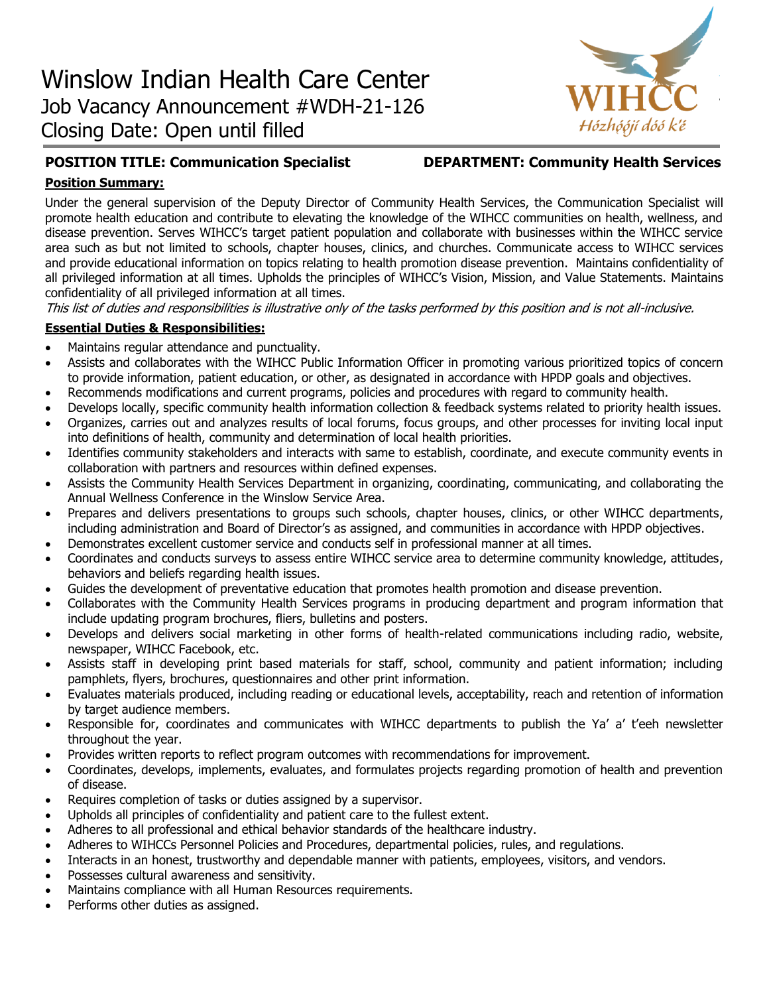

# **POSITION TITLE: Communication Specialist DEPARTMENT: Community Health Services**

## **Position Summary:**

Under the general supervision of the Deputy Director of Community Health Services, the Communication Specialist will promote health education and contribute to elevating the knowledge of the WIHCC communities on health, wellness, and disease prevention. Serves WIHCC's target patient population and collaborate with businesses within the WIHCC service area such as but not limited to schools, chapter houses, clinics, and churches. Communicate access to WIHCC services and provide educational information on topics relating to health promotion disease prevention. Maintains confidentiality of all privileged information at all times. Upholds the principles of WIHCC's Vision, Mission, and Value Statements. Maintains confidentiality of all privileged information at all times.

This list of duties and responsibilities is illustrative only of the tasks performed by this position and is not all-inclusive.

## **Essential Duties & Responsibilities:**

- Maintains regular attendance and punctuality.
- Assists and collaborates with the WIHCC Public Information Officer in promoting various prioritized topics of concern to provide information, patient education, or other, as designated in accordance with HPDP goals and objectives.
- Recommends modifications and current programs, policies and procedures with regard to community health.
- Develops locally, specific community health information collection & feedback systems related to priority health issues.
- Organizes, carries out and analyzes results of local forums, focus groups, and other processes for inviting local input into definitions of health, community and determination of local health priorities.
- Identifies community stakeholders and interacts with same to establish, coordinate, and execute community events in collaboration with partners and resources within defined expenses.
- Assists the Community Health Services Department in organizing, coordinating, communicating, and collaborating the Annual Wellness Conference in the Winslow Service Area.
- Prepares and delivers presentations to groups such schools, chapter houses, clinics, or other WIHCC departments, including administration and Board of Director's as assigned, and communities in accordance with HPDP objectives.
- Demonstrates excellent customer service and conducts self in professional manner at all times.
- Coordinates and conducts surveys to assess entire WIHCC service area to determine community knowledge, attitudes, behaviors and beliefs regarding health issues.
- Guides the development of preventative education that promotes health promotion and disease prevention.
- Collaborates with the Community Health Services programs in producing department and program information that include updating program brochures, fliers, bulletins and posters.
- Develops and delivers social marketing in other forms of health-related communications including radio, website, newspaper, WIHCC Facebook, etc.
- Assists staff in developing print based materials for staff, school, community and patient information; including pamphlets, flyers, brochures, questionnaires and other print information.
- Evaluates materials produced, including reading or educational levels, acceptability, reach and retention of information by target audience members.
- Responsible for, coordinates and communicates with WIHCC departments to publish the Ya' a' t'eeh newsletter throughout the year.
- Provides written reports to reflect program outcomes with recommendations for improvement.
- Coordinates, develops, implements, evaluates, and formulates projects regarding promotion of health and prevention of disease.
- Requires completion of tasks or duties assigned by a supervisor.
- Upholds all principles of confidentiality and patient care to the fullest extent.
- Adheres to all professional and ethical behavior standards of the healthcare industry.
- Adheres to WIHCCs Personnel Policies and Procedures, departmental policies, rules, and regulations.
- Interacts in an honest, trustworthy and dependable manner with patients, employees, visitors, and vendors.
- Possesses cultural awareness and sensitivity.
- Maintains compliance with all Human Resources requirements.
- Performs other duties as assigned.